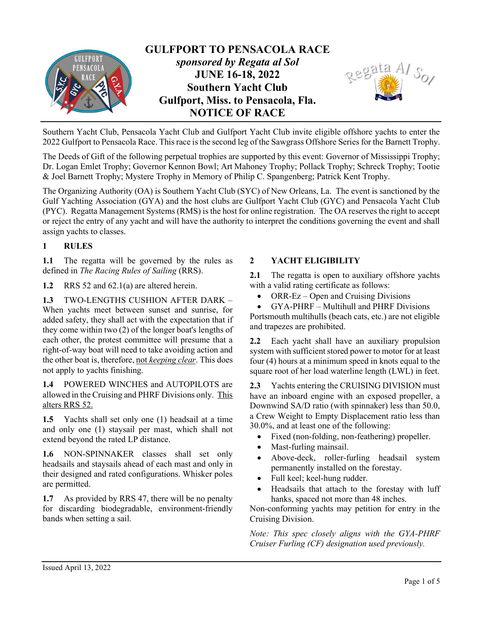

Southern Yacht Club, Pensacola Yacht Club and Gulfport Yacht Club invite eligible offshore yachts to enter the 2022 Gulfport to Pensacola Race. This race is the second leg of the Sawgrass Offshore Series for the Barnett Trophy.

The Deeds of Gift of the following perpetual trophies are supported by this event: Governor of Mississippi Trophy; Dr. Logan Emlet Trophy; Governor Kennon Bowl; Art Mahoney Trophy; Pollack Trophy; Schreck Trophy; Tootie & Joel Barnett Trophy; Mystere Trophy in Memory of Philip C. Spangenberg; Patrick Kent Trophy.

The Organizing Authority (OA) is Southern Yacht Club (SYC) of New Orleans, La. The event is sanctioned by the Gulf Yachting Association (GYA) and the host clubs are Gulfport Yacht Club (GYC) and Pensacola Yacht Club (PYC). Regatta Management Systems (RMS) is the host for online registration. The OA reserves the right to accept or reject the entry of any yacht and will have the authority to interpret the conditions governing the event and shall assign yachts to classes.

#### 1 RULES

1.1 The regatta will be governed by the rules as defined in The Racing Rules of Sailing (RRS).

1.2 RRS 52 and 62.1(a) are altered herein.

1.3 TWO-LENGTHS CUSHION AFTER DARK -When yachts meet between sunset and sunrise, for added safety, they shall act with the expectation that if they come within two (2) of the longer boat's lengths of each other, the protest committee will presume that a right-of-way boat will need to take avoiding action and the other boat is, therefore, not keeping clear. This does not apply to yachts finishing.

1.4 POWERED WINCHES and AUTOPILOTS are allowed in the Cruising and PHRF Divisions only. This alters RRS 52.

1.5 Yachts shall set only one (1) headsail at a time and only one (1) staysail per mast, which shall not extend beyond the rated LP distance.

1.6 NON-SPINNAKER classes shall set only headsails and staysails ahead of each mast and only in their designed and rated configurations. Whisker poles are permitted.

1.7 As provided by RRS 47, there will be no penalty for discarding biodegradable, environment-friendly bands when setting a sail.

### 2 YACHT ELIGIBILITY

2.1 The regatta is open to auxiliary offshore yachts with a valid rating certificate as follows:

 $\bullet$  ORR-Ez – Open and Cruising Divisions

 GYA-PHRF – Multihull and PHRF Divisions Portsmouth multihulls (beach cats, etc.) are not eligible and trapezes are prohibited.

2.2 Each yacht shall have an auxiliary propulsion system with sufficient stored power to motor for at least four (4) hours at a minimum speed in knots equal to the square root of her load waterline length (LWL) in feet.

2.3 Yachts entering the CRUISING DIVISION must have an inboard engine with an exposed propeller, a Downwind SA/D ratio (with spinnaker) less than 50.0, a Crew Weight to Empty Displacement ratio less than 30.0%, and at least one of the following:

- Fixed (non-folding, non-feathering) propeller.
- Mast-furling mainsail.
- Above-deck, roller-furling headsail system permanently installed on the forestay.
- Full keel; keel-hung rudder.
- Headsails that attach to the forestay with luff hanks, spaced not more than 48 inches.

Non-conforming yachts may petition for entry in the Cruising Division.

Note: This spec closely aligns with the GYA-PHRF Cruiser Furling (CF) designation used previously.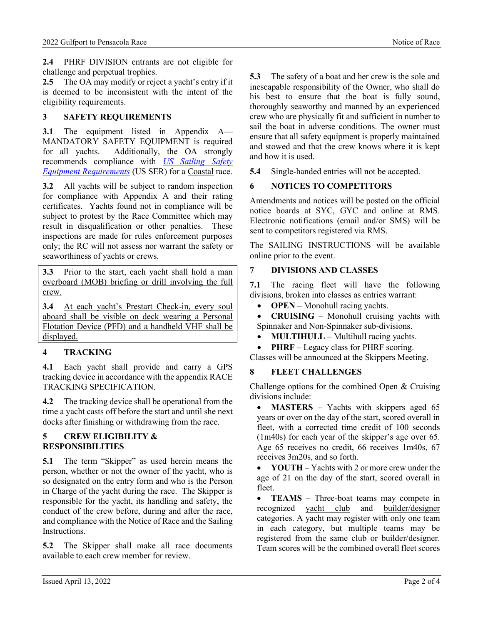2.4 PHRF DIVISION entrants are not eligible for challenge and perpetual trophies.

2.5 The OA may modify or reject a yacht's entry if it is deemed to be inconsistent with the intent of the eligibility requirements.

# 3 SAFETY REQUIREMENTS

3.1 The equipment listed in Appendix A— MANDATORY SAFETY EQUIPMENT is required for all yachts. Additionally, the OA strongly recommends compliance with US Sailing Safety Equipment Requirements (US SER) for a Coastal race.

3.2 All yachts will be subject to random inspection for compliance with Appendix A and their rating certificates. Yachts found not in compliance will be subject to protest by the Race Committee which may result in disqualification or other penalties. These inspections are made for rules enforcement purposes only; the RC will not assess nor warrant the safety or seaworthiness of yachts or crews.

3.3 Prior to the start, each yacht shall hold a man overboard (MOB) briefing or drill involving the full crew.

3.4 At each yacht's Prestart Check-in, every soul aboard shall be visible on deck wearing a Personal Flotation Device (PFD) and a handheld VHF shall be displayed.

# 4 TRACKING

4.1 Each yacht shall provide and carry a GPS tracking device in accordance with the appendix RACE TRACKING SPECIFICATION.

4.2 The tracking device shall be operational from the time a yacht casts off before the start and until she next docks after finishing or withdrawing from the race.

### 5 CREW ELIGIBILITY & RESPONSIBILITIES

5.1 The term "Skipper" as used herein means the person, whether or not the owner of the yacht, who is so designated on the entry form and who is the Person in Charge of the yacht during the race. The Skipper is responsible for the yacht, its handling and safety, the conduct of the crew before, during and after the race, and compliance with the Notice of Race and the Sailing Instructions.

5.2 The Skipper shall make all race documents available to each crew member for review.

5.3 The safety of a boat and her crew is the sole and inescapable responsibility of the Owner, who shall do his best to ensure that the boat is fully sound, thoroughly seaworthy and manned by an experienced crew who are physically fit and sufficient in number to sail the boat in adverse conditions. The owner must ensure that all safety equipment is properly maintained and stowed and that the crew knows where it is kept and how it is used.

5.4 Single-handed entries will not be accepted.

# 6 NOTICES TO COMPETITORS

Amendments and notices will be posted on the official notice boards at SYC, GYC and online at RMS. Electronic notifications (email and/or SMS) will be sent to competitors registered via RMS.

The SAILING INSTRUCTIONS will be available online prior to the event.

# 7 DIVISIONS AND CLASSES

7.1 The racing fleet will have the following divisions, broken into classes as entries warrant:

• **OPEN** – Monohull racing yachts.

 CRUISING – Monohull cruising yachts with Spinnaker and Non-Spinnaker sub-divisions.

- MULTIHULL Multihull racing yachts.
- PHRF Legacy class for PHRF scoring.

Classes will be announced at the Skippers Meeting.

# 8 FLEET CHALLENGES

Challenge options for the combined Open & Cruising divisions include:

• **MASTERS** – Yachts with skippers aged 65 years or over on the day of the start, scored overall in fleet, with a corrected time credit of 100 seconds (1m40s) for each year of the skipper's age over 65. Age 65 receives no credit, 66 receives 1m40s, 67 receives 3m20s, and so forth.

 YOUTH – Yachts with 2 or more crew under the age of 21 on the day of the start, scored overall in fleet.

• TEAMS – Three-boat teams may compete in recognized yacht club and builder/designer categories. A yacht may register with only one team in each category, but multiple teams may be registered from the same club or builder/designer. Team scores will be the combined overall fleet scores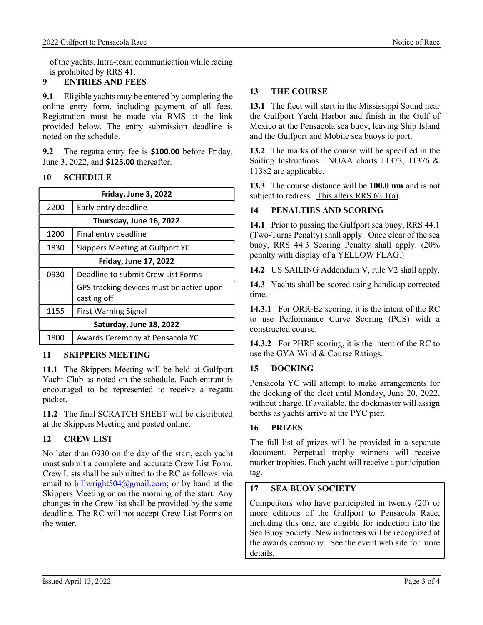of the yachts. Intra-team communication while racing is prohibited by RRS 41.

### 9 ENTRIES AND FEES

9.1 Eligible yachts may be entered by completing the online entry form, including payment of all fees. Registration must be made via RMS at the link provided below. The entry submission deadline is noted on the schedule.

9.2 The regatta entry fee is \$100.00 before Friday, June 3, 2022, and \$125.00 thereafter.

### 10 SCHEDULE

| Friday, June 3, 2022         |                                                         |  |
|------------------------------|---------------------------------------------------------|--|
| 2200                         | Early entry deadline                                    |  |
| Thursday, June 16, 2022      |                                                         |  |
| 1200                         | Final entry deadline                                    |  |
| 1830                         | Skippers Meeting at Gulfport YC                         |  |
| <b>Friday, June 17, 2022</b> |                                                         |  |
| 0930                         | Deadline to submit Crew List Forms                      |  |
|                              | GPS tracking devices must be active upon<br>casting off |  |
| 1155                         | <b>First Warning Signal</b>                             |  |
| Saturday, June 18, 2022      |                                                         |  |
| 1800                         | Awards Ceremony at Pensacola YC                         |  |

### 11 SKIPPERS MEETING

11.1 The Skippers Meeting will be held at Gulfport Yacht Club as noted on the schedule. Each entrant is encouraged to be represented to receive a regatta packet.

11.2 The final SCRATCH SHEET will be distributed at the Skippers Meeting and posted online.

# 12 CREW LIST

No later than 0930 on the day of the start, each yacht must submit a complete and accurate Crew List Form. Crew Lists shall be submitted to the RC as follows: via email to billwright $504@gmail.com$ ; or by hand at the Skippers Meeting or on the morning of the start. Any changes in the Crew list shall be provided by the same deadline. The RC will not accept Crew List Forms on the water.

## 13 THE COURSE

13.1 The fleet will start in the Mississippi Sound near the Gulfport Yacht Harbor and finish in the Gulf of Mexico at the Pensacola sea buoy, leaving Ship Island and the Gulfport and Mobile sea buoys to port.

13.2 The marks of the course will be specified in the Sailing Instructions. NOAA charts 11373, 11376 & 11382 are applicable.

13.3 The course distance will be 100.0 nm and is not subject to redress. This alters RRS 62.1(a).

### 14 PENALTIES AND SCORING

14.1 Prior to passing the Gulfport sea buoy, RRS 44.1 (Two-Turns Penalty) shall apply. Once clear of the sea buoy, RRS 44.3 Scoring Penalty shall apply. (20% penalty with display of a YELLOW FLAG.)

14.2 US SAILING Addendum V, rule V2 shall apply.

14.3 Yachts shall be scored using handicap corrected time.

14.3.1 For ORR-Ez scoring, it is the intent of the RC to use Performance Curve Scoring (PCS) with a constructed course.

14.3.2 For PHRF scoring, it is the intent of the RC to use the GYA Wind & Course Ratings.

### 15 DOCKING

Pensacola YC will attempt to make arrangements for the docking of the fleet until Monday, June 20, 2022, without charge. If available, the dockmaster will assign berths as yachts arrive at the PYC pier.

# 16 PRIZES

The full list of prizes will be provided in a separate document. Perpetual trophy winners will receive marker trophies. Each yacht will receive a participation tag.

# 17 SEA BUOY SOCIETY

Competitors who have participated in twenty (20) or more editions of the Gulfport to Pensacola Race, including this one, are eligible for induction into the Sea Buoy Society. New inductees will be recognized at the awards ceremony. See the event web site for more details.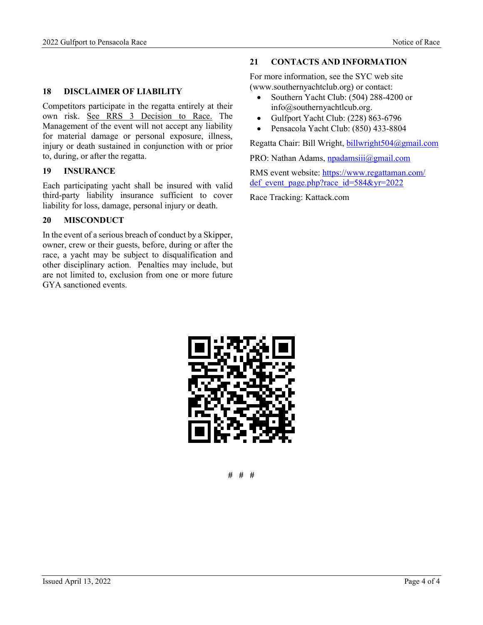#### 18 DISCLAIMER OF LIABILITY

Competitors participate in the regatta entirely at their own risk. See RRS 3 Decision to Race. The Management of the event will not accept any liability for material damage or personal exposure, illness, injury or death sustained in conjunction with or prior to, during, or after the regatta.

#### 19 INSURANCE

Each participating yacht shall be insured with valid third-party liability insurance sufficient to cover liability for loss, damage, personal injury or death.

#### 20 MISCONDUCT

In the event of a serious breach of conduct by a Skipper, owner, crew or their guests, before, during or after the race, a yacht may be subject to disqualification and other disciplinary action. Penalties may include, but are not limited to, exclusion from one or more future GYA sanctioned events.

#### 21 CONTACTS AND INFORMATION

For more information, see the SYC web site (www.southernyachtclub.org) or contact:

- Southern Yacht Club: (504) 288-4200 or info@southernyachtlcub.org.
- Gulfport Yacht Club: (228) 863-6796
- Pensacola Yacht Club: (850) 433-8804

Regatta Chair: Bill Wright, billwright504@gmail.com

PRO: Nathan Adams, npadamsiii@gmail.com

RMS event website: https://www.regattaman.com/ def event page.php?race id=584&yr=2022

Race Tracking: Kattack.com



# # #